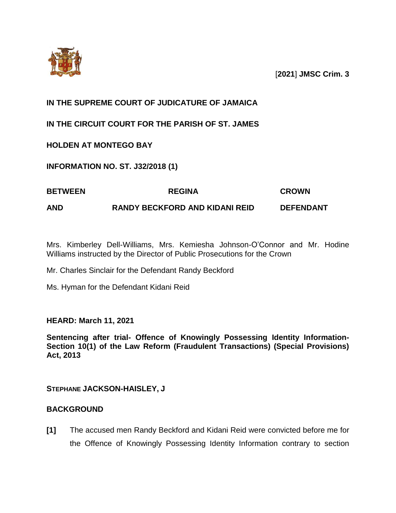

[**2021**] **JMSC Crim. 3**

# **IN THE SUPREME COURT OF JUDICATURE OF JAMAICA**

**IN THE CIRCUIT COURT FOR THE PARISH OF ST. JAMES**

## **HOLDEN AT MONTEGO BAY**

**INFORMATION NO. ST. J32/2018 (1)**

| <b>BETWEEN</b> | <b>REGINA</b>                         | <b>CROWN</b>     |
|----------------|---------------------------------------|------------------|
| <b>AND</b>     | <b>RANDY BECKFORD AND KIDANI REID</b> | <b>DEFENDANT</b> |

Mrs. Kimberley Dell-Williams, Mrs. Kemiesha Johnson-O'Connor and Mr. Hodine Williams instructed by the Director of Public Prosecutions for the Crown

Mr. Charles Sinclair for the Defendant Randy Beckford

Ms. Hyman for the Defendant Kidani Reid

**HEARD: March 11, 2021**

**Sentencing after trial- Offence of Knowingly Possessing Identity Information-Section 10(1) of the Law Reform (Fraudulent Transactions) (Special Provisions) Act, 2013**

**STEPHANE JACKSON-HAISLEY, J**

## **BACKGROUND**

**[1]** The accused men Randy Beckford and Kidani Reid were convicted before me for the Offence of Knowingly Possessing Identity Information contrary to section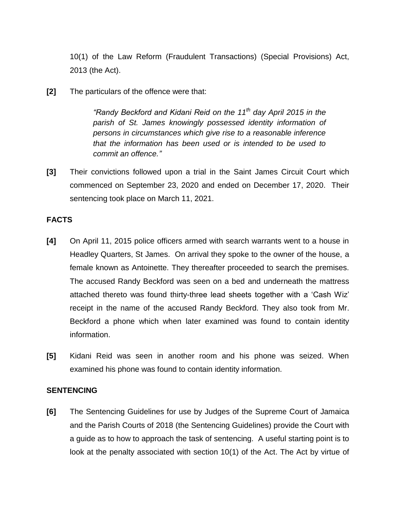10(1) of the Law Reform (Fraudulent Transactions) (Special Provisions) Act, 2013 (the Act).

**[2]** The particulars of the offence were that:

*"Randy Beckford and Kidani Reid on the 11th day April 2015 in the parish of St. James knowingly possessed identity information of persons in circumstances which give rise to a reasonable inference that the information has been used or is intended to be used to commit an offence."*

**[3]** Their convictions followed upon a trial in the Saint James Circuit Court which commenced on September 23, 2020 and ended on December 17, 2020. Their sentencing took place on March 11, 2021.

### **FACTS**

- **[4]** On April 11, 2015 police officers armed with search warrants went to a house in Headley Quarters, St James. On arrival they spoke to the owner of the house, a female known as Antoinette. They thereafter proceeded to search the premises. The accused Randy Beckford was seen on a bed and underneath the mattress attached thereto was found thirty-three lead sheets together with a 'Cash Wiz' receipt in the name of the accused Randy Beckford. They also took from Mr. Beckford a phone which when later examined was found to contain identity information.
- **[5]** Kidani Reid was seen in another room and his phone was seized. When examined his phone was found to contain identity information.

#### **SENTENCING**

**[6]** The Sentencing Guidelines for use by Judges of the Supreme Court of Jamaica and the Parish Courts of 2018 (the Sentencing Guidelines) provide the Court with a guide as to how to approach the task of sentencing. A useful starting point is to look at the penalty associated with section 10(1) of the Act. The Act by virtue of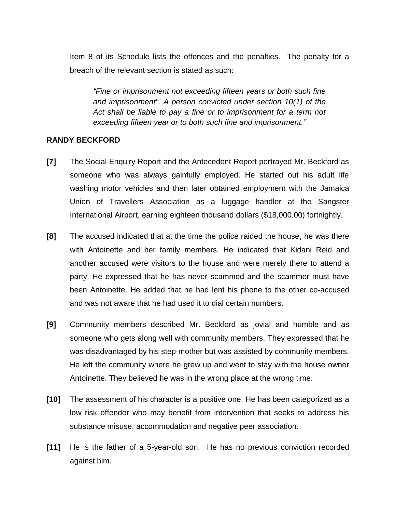Item 8 of its Schedule lists the offences and the penalties. The penalty for a breach of the relevant section is stated as such:

*"Fine or imprisonment not exceeding fifteen years or both such fine and imprisonment". A person convicted under section 10(1) of the Act shall be liable to pay a fine or to imprisonment for a term not exceeding fifteen year or to both such fine and imprisonment."*

### **RANDY BECKFORD**

- **[7]** The Social Enquiry Report and the Antecedent Report portrayed Mr. Beckford as someone who was always gainfully employed. He started out his adult life washing motor vehicles and then later obtained employment with the Jamaica Union of Travellers Association as a luggage handler at the Sangster International Airport, earning eighteen thousand dollars (\$18,000.00) fortnightly.
- **[8]** The accused indicated that at the time the police raided the house, he was there with Antoinette and her family members. He indicated that Kidani Reid and another accused were visitors to the house and were merely there to attend a party. He expressed that he has never scammed and the scammer must have been Antoinette. He added that he had lent his phone to the other co-accused and was not aware that he had used it to dial certain numbers.
- **[9]** Community members described Mr. Beckford as jovial and humble and as someone who gets along well with community members. They expressed that he was disadvantaged by his step-mother but was assisted by community members. He left the community where he grew up and went to stay with the house owner Antoinette. They believed he was in the wrong place at the wrong time.
- **[10]** The assessment of his character is a positive one. He has been categorized as a low risk offender who may benefit from intervention that seeks to address his substance misuse, accommodation and negative peer association.
- **[11]** He is the father of a 5-year-old son. He has no previous conviction recorded against him.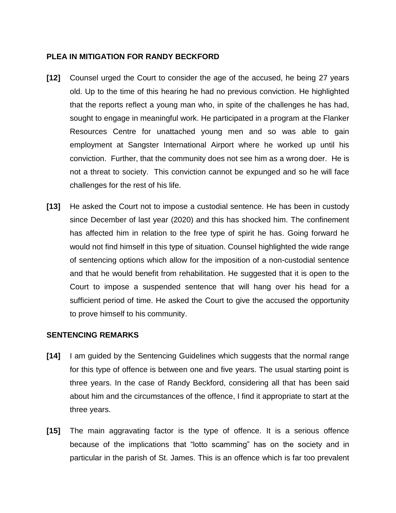### **PLEA IN MITIGATION FOR RANDY BECKFORD**

- **[12]** Counsel urged the Court to consider the age of the accused, he being 27 years old. Up to the time of this hearing he had no previous conviction. He highlighted that the reports reflect a young man who, in spite of the challenges he has had, sought to engage in meaningful work. He participated in a program at the Flanker Resources Centre for unattached young men and so was able to gain employment at Sangster International Airport where he worked up until his conviction. Further, that the community does not see him as a wrong doer. He is not a threat to society. This conviction cannot be expunged and so he will face challenges for the rest of his life.
- **[13]** He asked the Court not to impose a custodial sentence. He has been in custody since December of last year (2020) and this has shocked him. The confinement has affected him in relation to the free type of spirit he has. Going forward he would not find himself in this type of situation. Counsel highlighted the wide range of sentencing options which allow for the imposition of a non-custodial sentence and that he would benefit from rehabilitation. He suggested that it is open to the Court to impose a suspended sentence that will hang over his head for a sufficient period of time. He asked the Court to give the accused the opportunity to prove himself to his community.

#### **SENTENCING REMARKS**

- **[14]** I am guided by the Sentencing Guidelines which suggests that the normal range for this type of offence is between one and five years. The usual starting point is three years. In the case of Randy Beckford, considering all that has been said about him and the circumstances of the offence, I find it appropriate to start at the three years.
- **[15]** The main aggravating factor is the type of offence. It is a serious offence because of the implications that "lotto scamming" has on the society and in particular in the parish of St. James. This is an offence which is far too prevalent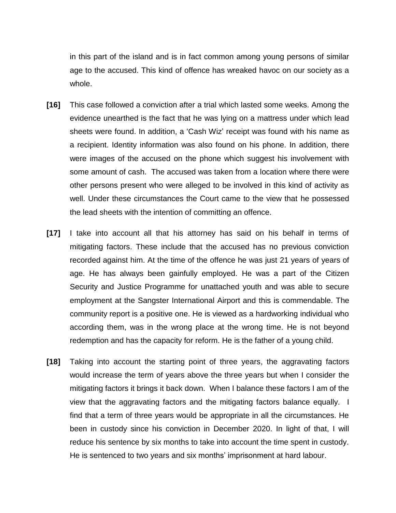in this part of the island and is in fact common among young persons of similar age to the accused. This kind of offence has wreaked havoc on our society as a whole.

- **[16]** This case followed a conviction after a trial which lasted some weeks. Among the evidence unearthed is the fact that he was lying on a mattress under which lead sheets were found. In addition, a 'Cash Wiz' receipt was found with his name as a recipient. Identity information was also found on his phone. In addition, there were images of the accused on the phone which suggest his involvement with some amount of cash. The accused was taken from a location where there were other persons present who were alleged to be involved in this kind of activity as well. Under these circumstances the Court came to the view that he possessed the lead sheets with the intention of committing an offence.
- **[17]** I take into account all that his attorney has said on his behalf in terms of mitigating factors. These include that the accused has no previous conviction recorded against him. At the time of the offence he was just 21 years of years of age. He has always been gainfully employed. He was a part of the Citizen Security and Justice Programme for unattached youth and was able to secure employment at the Sangster International Airport and this is commendable. The community report is a positive one. He is viewed as a hardworking individual who according them, was in the wrong place at the wrong time. He is not beyond redemption and has the capacity for reform. He is the father of a young child.
- **[18]** Taking into account the starting point of three years, the aggravating factors would increase the term of years above the three years but when I consider the mitigating factors it brings it back down. When I balance these factors I am of the view that the aggravating factors and the mitigating factors balance equally. I find that a term of three years would be appropriate in all the circumstances. He been in custody since his conviction in December 2020. In light of that, I will reduce his sentence by six months to take into account the time spent in custody. He is sentenced to two years and six months' imprisonment at hard labour.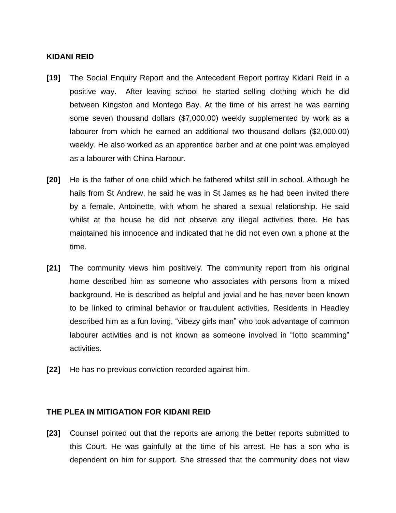#### **KIDANI REID**

- **[19]** The Social Enquiry Report and the Antecedent Report portray Kidani Reid in a positive way. After leaving school he started selling clothing which he did between Kingston and Montego Bay. At the time of his arrest he was earning some seven thousand dollars (\$7,000.00) weekly supplemented by work as a labourer from which he earned an additional two thousand dollars (\$2,000.00) weekly. He also worked as an apprentice barber and at one point was employed as a labourer with China Harbour.
- **[20]** He is the father of one child which he fathered whilst still in school. Although he hails from St Andrew, he said he was in St James as he had been invited there by a female, Antoinette, with whom he shared a sexual relationship. He said whilst at the house he did not observe any illegal activities there. He has maintained his innocence and indicated that he did not even own a phone at the time.
- **[21]** The community views him positively. The community report from his original home described him as someone who associates with persons from a mixed background. He is described as helpful and jovial and he has never been known to be linked to criminal behavior or fraudulent activities. Residents in Headley described him as a fun loving, "vibezy girls man" who took advantage of common labourer activities and is not known as someone involved in "lotto scamming" activities.
- **[22]** He has no previous conviction recorded against him.

### **THE PLEA IN MITIGATION FOR KIDANI REID**

**[23]** Counsel pointed out that the reports are among the better reports submitted to this Court. He was gainfully at the time of his arrest. He has a son who is dependent on him for support. She stressed that the community does not view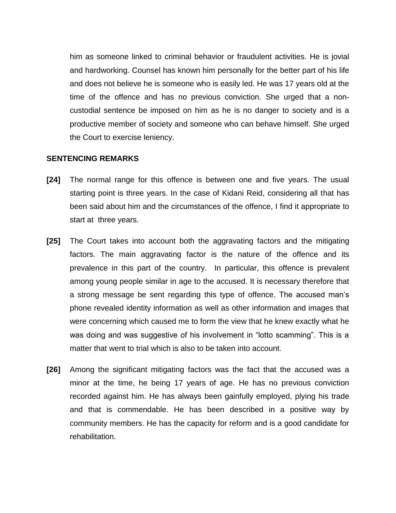him as someone linked to criminal behavior or fraudulent activities. He is jovial and hardworking. Counsel has known him personally for the better part of his life and does not believe he is someone who is easily led. He was 17 years old at the time of the offence and has no previous conviction. She urged that a noncustodial sentence be imposed on him as he is no danger to society and is a productive member of society and someone who can behave himself. She urged the Court to exercise leniency.

#### **SENTENCING REMARKS**

- **[24]** The normal range for this offence is between one and five years. The usual starting point is three years. In the case of Kidani Reid, considering all that has been said about him and the circumstances of the offence, I find it appropriate to start at three years.
- **[25]** The Court takes into account both the aggravating factors and the mitigating factors. The main aggravating factor is the nature of the offence and its prevalence in this part of the country. In particular, this offence is prevalent among young people similar in age to the accused. It is necessary therefore that a strong message be sent regarding this type of offence. The accused man's phone revealed identity information as well as other information and images that were concerning which caused me to form the view that he knew exactly what he was doing and was suggestive of his involvement in "lotto scamming". This is a matter that went to trial which is also to be taken into account.
- **[26]** Among the significant mitigating factors was the fact that the accused was a minor at the time, he being 17 years of age. He has no previous conviction recorded against him. He has always been gainfully employed, plying his trade and that is commendable. He has been described in a positive way by community members. He has the capacity for reform and is a good candidate for rehabilitation.